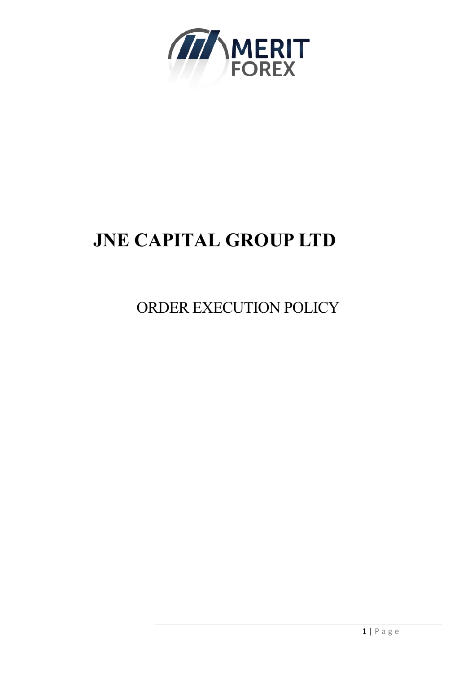

# **JNE CAPITAL GROUP LTD**

ORDER EXECUTION POLICY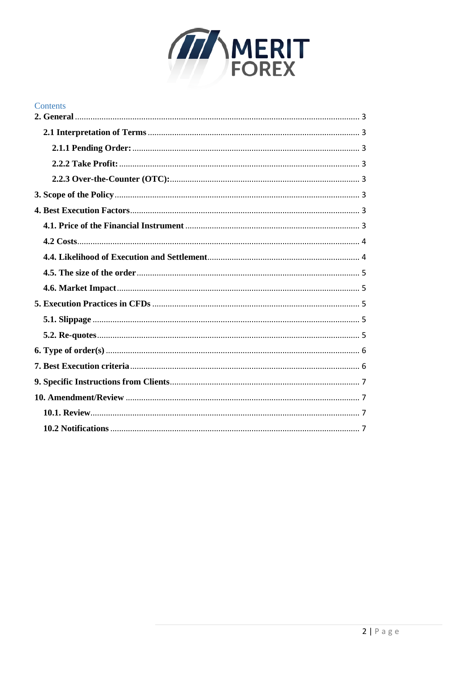

| Contents |  |
|----------|--|
|          |  |
|          |  |
|          |  |
|          |  |
|          |  |
|          |  |
|          |  |
|          |  |
|          |  |
|          |  |
|          |  |
|          |  |
|          |  |
|          |  |
|          |  |
|          |  |
|          |  |
|          |  |
|          |  |
|          |  |
|          |  |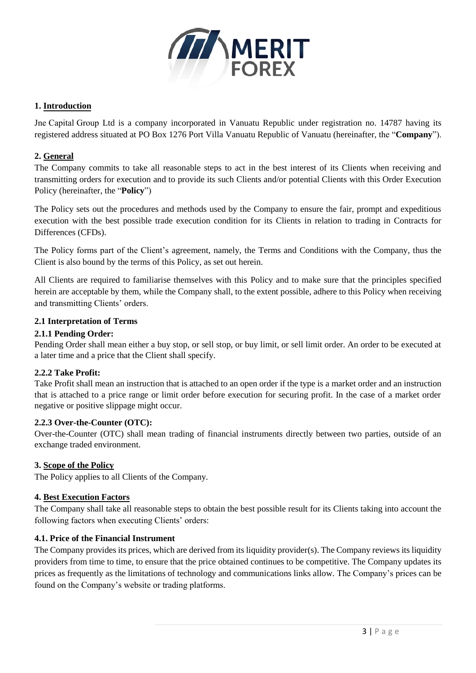

# **1. Introduction**

Jne Capital Group Ltd is a company incorporated in Vanuatu Republic under registration no. 14787 having its registered address situated at PO Box 1276 Port Villa Vanuatu Republic of Vanuatu (hereinafter, the "**Company**").

# <span id="page-2-0"></span>**2. General**

The Company commits to take all reasonable steps to act in the best interest of its Clients when receiving and transmitting orders for execution and to provide its such Clients and/or potential Clients with this Order Execution Policy (hereinafter, the "**Policy**")

The Policy sets out the procedures and methods used by the Company to ensure the fair, prompt and expeditious execution with the best possible trade execution condition for its Clients in relation to trading in Contracts for Differences (CFDs).

The Policy forms part of the Client's agreement, namely, the Terms and Conditions with the Company, thus the Client is also bound by the terms of this Policy, as set out herein.

All Clients are required to familiarise themselves with this Policy and to make sure that the principles specified herein are acceptable by them, while the Company shall, to the extent possible, adhere to this Policy when receiving and transmitting Clients' orders.

## <span id="page-2-1"></span>**2.1 Interpretation of Terms**

## <span id="page-2-2"></span>**2.1.1 Pending Order:**

Pending Order shall mean either a buy stop, or sell stop, or buy limit, or sell limit order. An order to be executed at a later time and a price that the Client shall specify.

#### <span id="page-2-3"></span>**2.2.2 Take Profit:**

Take Profit shall mean an instruction that is attached to an open order if the type is a market order and an instruction that is attached to a price range or limit order before execution for securing profit. In the case of a market order negative or positive slippage might occur.

#### <span id="page-2-4"></span>**2.2.3 Over-the-Counter (OTC):**

Over-the-Counter (OTC) shall mean trading of financial instruments directly between two parties, outside of an exchange traded environment.

#### <span id="page-2-5"></span>**3. Scope of the Policy**

The Policy applies to all Clients of the Company.

#### <span id="page-2-6"></span>**4. Best Execution Factors**

The Company shall take all reasonable steps to obtain the best possible result for its Clients taking into account the following factors when executing Clients' orders:

#### <span id="page-2-7"></span>**4.1. Price of the Financial Instrument**

The Company provides its prices, which are derived from its liquidity provider(s). The Company reviews its liquidity providers from time to time, to ensure that the price obtained continues to be competitive. The Company updates its prices as frequently as the limitations of technology and communications links allow. The Company's prices can be found on the Company's website or trading platforms.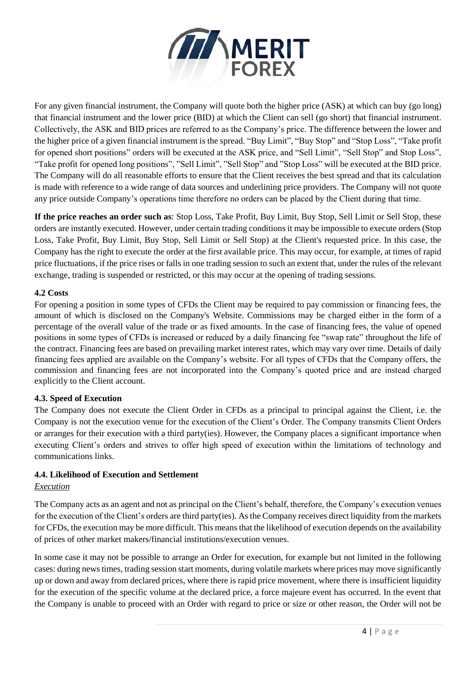

For any given financial instrument, the Company will quote both the higher price (ASK) at which can buy (go long) that financial instrument and the lower price (BID) at which the Client can sell (go short) that financial instrument. Collectively, the ASK and BID prices are referred to as the Company's price. The difference between the lower and the higher price of a given financial instrument is the spread. "Buy Limit", "Buy Stop" and "Stop Loss", "Take profit for opened short positions" orders will be executed at the ASK price, and "Sell Limit", "Sell Stop" and Stop Loss", "Take profit for opened long positions", "Sell Limit", "Sell Stop" and "Stop Loss" will be executed at the BID price. The Company will do all reasonable efforts to ensure that the Client receives the best spread and that its calculation is made with reference to a wide range of data sources and underlining price providers. The Company will not quote any price outside Company's operations time therefore no orders can be placed by the Client during that time.

**If the price reaches an order such as**: Stop Loss, Take Profit, Buy Limit, Buy Stop, Sell Limit or Sell Stop, these orders are instantly executed. However, under certain trading conditions it may be impossible to execute orders (Stop Loss, Take Profit, Buy Limit, Buy Stop, Sell Limit or Sell Stop) at the Client's requested price. In this case, the Company has the right to execute the order at the first available price. This may occur, for example, at times of rapid price fluctuations, if the price rises or falls in one trading session to such an extent that, under the rules of the relevant exchange, trading is suspended or restricted, or this may occur at the opening of trading sessions.

# <span id="page-3-0"></span>**4.2 Costs**

For opening a position in some types of CFDs the Client may be required to pay commission or financing fees, the amount of which is disclosed on the Company's Website. Commissions may be charged either in the form of a percentage of the overall value of the trade or as fixed amounts. In the case of financing fees, the value of opened positions in some types of CFDs is increased or reduced by a daily financing fee "swap rate" throughout the life of the contract. Financing fees are based on prevailing market interest rates, which may vary over time. Details of daily financing fees applied are available on the Company's website. For all types of CFDs that the Company offers, the commission and financing fees are not incorporated into the Company's quoted price and are instead charged explicitly to the Client account.

# **4.3. Speed of Execution**

The Company does not execute the Client Order in CFDs as a principal to principal against the Client, i.e. the Company is not the execution venue for the execution of the Client's Order. The Company transmits Client Orders or arranges for their execution with a third party(ies). However, the Company places a significant importance when executing Client's orders and strives to offer high speed of execution within the limitations of technology and communications links.

# <span id="page-3-1"></span>**4.4. Likelihood of Execution and Settlement**

# *Execution*

The Company acts as an agent and not as principal on the Client's behalf, therefore, the Company's execution venues for the execution of the Client's orders are third party(ies). As the Company receives direct liquidity from the markets for CFDs, the execution may be more difficult. This means that the likelihood of execution depends on the availability of prices of other market makers/financial institutions/execution venues.

In some case it may not be possible to arrange an Order for execution, for example but not limited in the following cases: during news times, trading session start moments, during volatile markets where prices may move significantly up or down and away from declared prices, where there is rapid price movement, where there is insufficient liquidity for the execution of the specific volume at the declared price, a force majeure event has occurred. In the event that the Company is unable to proceed with an Order with regard to price or size or other reason, the Order will not be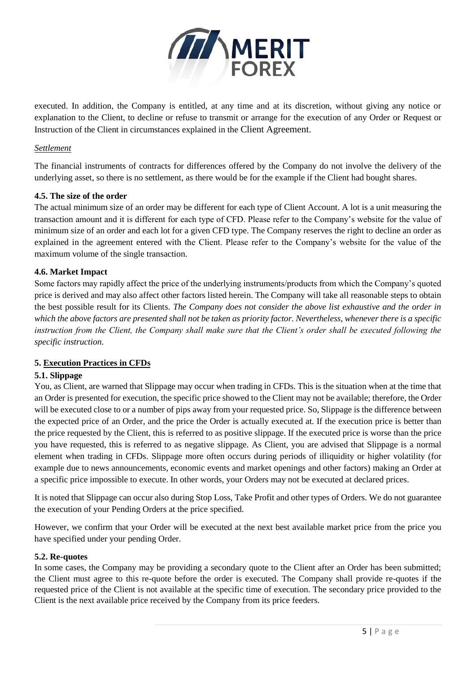

executed. In addition, the Company is entitled, at any time and at its discretion, without giving any notice or explanation to the Client, to decline or refuse to transmit or arrange for the execution of any Order or Request or Instruction of the Client in circumstances explained in the Client Agreement.

# *Settlement*

The financial instruments of contracts for differences offered by the Company do not involve the delivery of the underlying asset, so there is no settlement, as there would be for the example if the Client had bought shares.

## <span id="page-4-0"></span>**4.5. The size of the order**

The actual minimum size of an order may be different for each type of Client Account. A lot is a unit measuring the transaction amount and it is different for each type of CFD. Please refer to the Company's website for the value of minimum size of an order and each lot for a given CFD type. The Company reserves the right to decline an order as explained in the agreement entered with the Client. Please refer to the Company's website for the value of the maximum volume of the single transaction.

## <span id="page-4-1"></span>**4.6. Market Impact**

Some factors may rapidly affect the price of the underlying instruments/products from which the Company's quoted price is derived and may also affect other factors listed herein. The Company will take all reasonable steps to obtain the best possible result for its Clients. *The Company does not consider the above list exhaustive and the order in which the above factors are presented shall not be taken as priority factor. Nevertheless, whenever there is a specific*  instruction from the Client, the Company shall make sure that the Client's order shall be executed following the *specific instruction.*

# <span id="page-4-2"></span>**5. Execution Practices in CFDs**

# <span id="page-4-3"></span>**5.1. Slippage**

You, as Client, are warned that Slippage may occur when trading in CFDs. This is the situation when at the time that an Order is presented for execution, the specific price showed to the Client may not be available; therefore, the Order will be executed close to or a number of pips away from your requested price. So, Slippage is the difference between the expected price of an Order, and the price the Order is actually executed at. If the execution price is better than the price requested by the Client, this is referred to as positive slippage. If the executed price is worse than the price you have requested, this is referred to as negative slippage. As Client, you are advised that Slippage is a normal element when trading in CFDs. Slippage more often occurs during periods of illiquidity or higher volatility (for example due to news announcements, economic events and market openings and other factors) making an Order at a specific price impossible to execute. In other words, your Orders may not be executed at declared prices.

It is noted that Slippage can occur also during Stop Loss, Take Profit and other types of Orders. We do not guarantee the execution of your Pending Orders at the price specified.

However, we confirm that your Order will be executed at the next best available market price from the price you have specified under your pending Order.

#### <span id="page-4-4"></span>**5.2. Re-quotes**

In some cases, the Company may be providing a secondary quote to the Client after an Order has been submitted; the Client must agree to this re-quote before the order is executed. The Company shall provide re-quotes if the requested price of the Client is not available at the specific time of execution. The secondary price provided to the Client is the next available price received by the Company from its price feeders.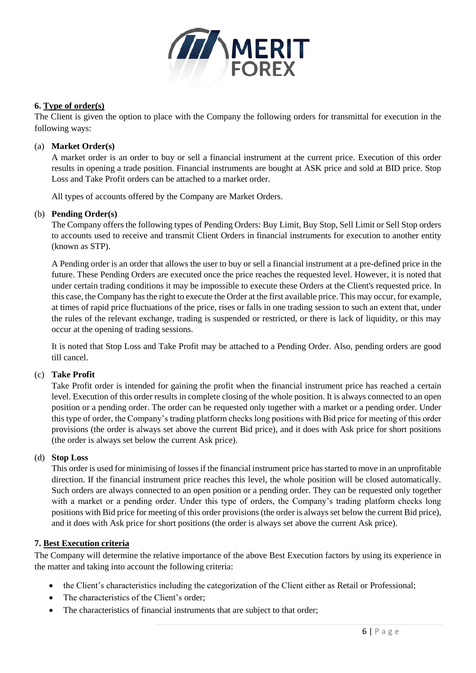

# <span id="page-5-0"></span>**6. Type of order(s)**

The Client is given the option to place with the Company the following orders for transmittal for execution in the following ways:

## (a) **Market Order(s)**

A market order is an order to buy or sell a financial instrument at the current price. Execution of this order results in opening a trade position. Financial instruments are bought at ASK price and sold at BID price. Stop Loss and Take Profit orders can be attached to a market order.

All types of accounts offered by the Company are Market Orders.

## (b) **Pending Order(s)**

The Company offers the following types of Pending Orders: Buy Limit, Buy Stop, Sell Limit or Sell Stop orders to accounts used to receive and transmit Client Orders in financial instruments for execution to another entity (known as STP).

A Pending order is an order that allows the user to buy or sell a financial instrument at a pre-defined price in the future. These Pending Orders are executed once the price reaches the requested level. However, it is noted that under certain trading conditions it may be impossible to execute these Orders at the Client's requested price. In this case, the Company has the right to execute the Order at the first available price. This may occur, for example, at times of rapid price fluctuations of the price, rises or falls in one trading session to such an extent that, under the rules of the relevant exchange, trading is suspended or restricted, or there is lack of liquidity, or this may occur at the opening of trading sessions.

It is noted that Stop Loss and Take Profit may be attached to a Pending Order. Also, pending orders are good till cancel.

#### (c) **Take Profit**

Take Profit order is intended for gaining the profit when the financial instrument price has reached a certain level. Execution of this order results in complete closing of the whole position. It is always connected to an open position or a pending order. The order can be requested only together with a market or a pending order. Under this type of order, the Company's trading platform checks long positions with Bid price for meeting of this order provisions (the order is always set above the current Bid price), and it does with Ask price for short positions (the order is always set below the current Ask price).

#### (d) **Stop Loss**

This order is used for minimising of losses if the financial instrument price has started to move in an unprofitable direction. If the financial instrument price reaches this level, the whole position will be closed automatically. Such orders are always connected to an open position or a pending order. They can be requested only together with a market or a pending order. Under this type of orders, the Company's trading platform checks long positions with Bid price for meeting of this order provisions (the order is always set below the current Bid price), and it does with Ask price for short positions (the order is always set above the current Ask price).

# <span id="page-5-1"></span>**7. Best Execution criteria**

The Company will determine the relative importance of the above Best Execution factors by using its experience in the matter and taking into account the following criteria:

- the Client's characteristics including the categorization of the Client either as Retail or Professional;
- The characteristics of the Client's order;
- The characteristics of financial instruments that are subject to that order;